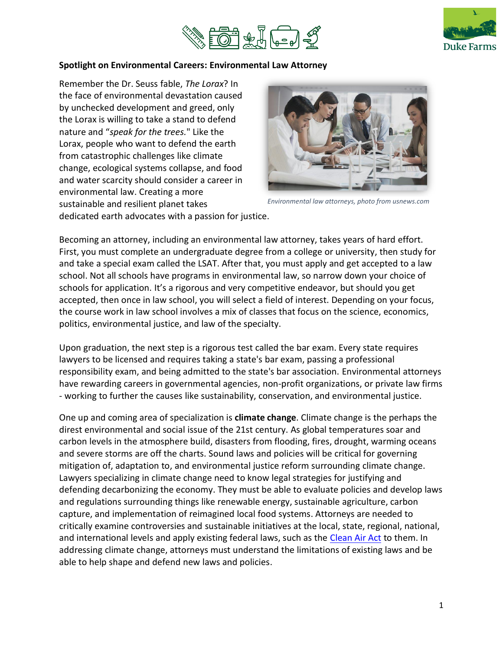



#### **Spotlight on Environmental Careers: Environmental Law Attorney**

Remember the Dr. Seuss fable, *The Lorax*? In the face of environmental devastation caused by unchecked development and greed, only the Lorax is willing to take a stand to defend nature and "*speak for the trees.*" Like the Lorax, people who want to defend the earth from catastrophic challenges like climate change, ecological systems collapse, and food and water scarcity should consider a career in environmental law. Creating a more sustainable and resilient planet takes



*Environmental law attorneys, photo from usnews.com* 

dedicated earth advocates with a passion for justice.

Becoming an attorney, including an environmental law attorney, takes years of hard effort. First, you must complete an undergraduate degree from a college or university, then study for and take a special exam called the LSAT. After that, you must apply and get accepted to a law school. Not all schools have programs in environmental law, so narrow down your choice of schools for application. It's a rigorous and very competitive endeavor, but should you get accepted, then once in law school, you will select a field of interest. Depending on your focus, the course work in law school involves a mix of classes that focus on the science, economics, politics, environmental justice, and law of the specialty.

Upon graduation, the next step is a rigorous test called the bar exam. Every state requires lawyers to be licensed and requires taking a state's bar exam, passing a professional responsibility exam, and being admitted to the state's bar association. Environmental attorneys have rewarding careers in governmental agencies, non-profit organizations, or private law firms - working to further the causes like sustainability, conservation, and environmental justice.

One up and coming area of specialization is **climate change**. Climate change is the perhaps the direst environmental and social issue of the 21st century. As global temperatures soar and carbon levels in the atmosphere build, disasters from flooding, fires, drought, warming oceans and severe storms are off the charts. Sound laws and policies will be critical for governing mitigation of, adaptation to, and environmental justice reform surrounding climate change. Lawyers specializing in climate change need to know legal strategies for justifying and defending decarbonizing the economy. They must be able to evaluate policies and develop laws and regulations surrounding things like renewable energy, sustainable agriculture, carbon capture, and implementation of reimagined local food systems. Attorneys are needed to critically examine controversies and sustainable initiatives at the local, state, regional, national, and international levels and apply existing federal laws, such as the [Clean Air Act](https://www.epa.gov/clean-air-act-overview) to them. In addressing climate change, attorneys must understand the limitations of existing laws and be able to help shape and defend new laws and policies.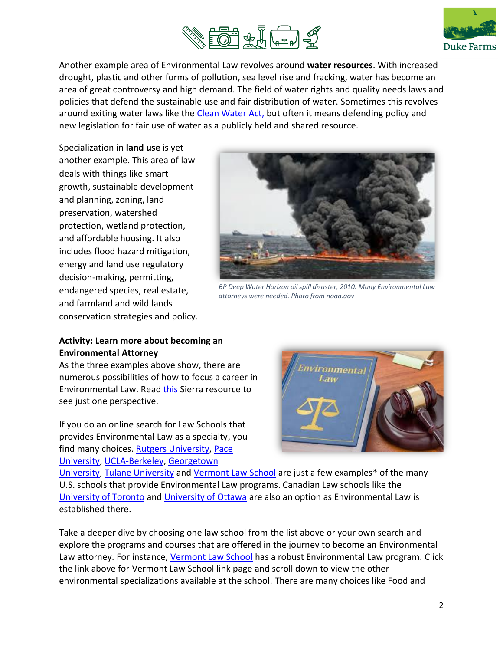



Another example area of Environmental Law revolves around **water resources**. With increased drought, plastic and other forms of pollution, sea level rise and fracking, water has become an area of great controversy and high demand. The field of water rights and quality needs laws and policies that defend the sustainable use and fair distribution of water. Sometimes this revolves around exiting water laws like the [Clean Water Act,](https://www.epa.gov/laws-regulations/summary-clean-water-act) but often it means defending policy and new legislation for fair use of water as a publicly held and shared resource.

Specialization in **land use** is yet another example. This area of law deals with things like smart growth, sustainable development and planning, zoning, land preservation, watershed protection, wetland protection, and affordable housing. It also includes flood hazard mitigation, energy and land use regulatory decision-making, permitting, endangered species, real estate, and farmland and wild lands conservation strategies and policy.



*BP Deep Water Horizon oil spill disaster, 2010. Many Environmental Law attorneys were needed. Photo from noaa.gov*

#### **Activity: Learn more about becoming an Environmental Attorney**

As the three examples above show, there are numerous possibilities of how to focus a career in Environmental Law. Rea[d this](https://www.sierraclub.org/sierra/cool-schools-2017/how-be-environmental-lawyer) Sierra resource to see just one perspective.

If you do an online search for Law Schools that provides Environmental Law as a specialty, you find many choices. [Rutgers University,](https://law.rutgers.edu/career-pathway-environmental) [Pace](https://law.pace.edu/graduate/llm-environmental-law)  [University,](https://law.pace.edu/graduate/llm-environmental-law) [UCLA-Berkeley,](https://www.law.berkeley.edu/research/clee/environmental-and-energy-law-programs/) [Georgetown](https://www.law.georgetown.edu/academics/courses-areas-study/environmental-law/) 



[University,](https://www.law.georgetown.edu/academics/courses-areas-study/environmental-law/) [Tulane University](https://law.tulane.edu/centers/environment) and [Vermont Law School](https://www.vermontlaw.edu/academics/centers-and-programs/environmental-law-center) are just a few examples\* of the many U.S. schools that provide Environmental Law programs. Canadian Law schools like the [University of Toronto](https://www.law.utoronto.ca/focus-area/environmental-law) and [University of Ottawa](https://llmphd.uottawa.ca/en/programs/llm/global-sustainability) are also an option as Environmental Law is established there.

Take a deeper dive by choosing one law school from the list above or your own search and explore the programs and courses that are offered in the journey to become an Environmental Law attorney. For instance, [Vermont Law School](https://www.vermontlaw.edu/academics/specializations/environmental-law) has a robust Environmental Law program. Click the link above for Vermont Law School link page and scroll down to view the other environmental specializations available at the school. There are many choices like Food and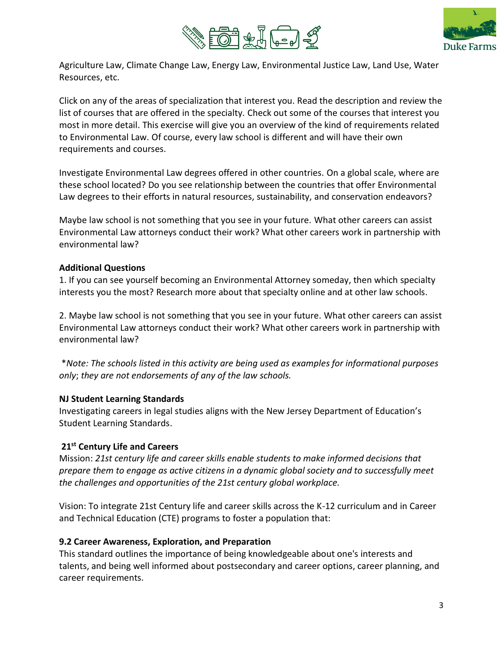



Agriculture Law, Climate Change Law, Energy Law, Environmental Justice Law, Land Use, Water Resources, etc.

Click on any of the areas of specialization that interest you. Read the description and review the list of courses that are offered in the specialty. Check out some of the courses that interest you most in more detail. This exercise will give you an overview of the kind of requirements related to Environmental Law. Of course, every law school is different and will have their own requirements and courses.

Investigate Environmental Law degrees offered in other countries. On a global scale, where are these school located? Do you see relationship between the countries that offer Environmental Law degrees to their efforts in natural resources, sustainability, and conservation endeavors?

Maybe law school is not something that you see in your future. What other careers can assist Environmental Law attorneys conduct their work? What other careers work in partnership with environmental law?

#### **Additional Questions**

1. If you can see yourself becoming an Environmental Attorney someday, then which specialty interests you the most? Research more about that specialty online and at other law schools.

2. Maybe law school is not something that you see in your future. What other careers can assist Environmental Law attorneys conduct their work? What other careers work in partnership with environmental law?

\**Note: The schools listed in this activity are being used as examples for informational purposes only*; *they are not endorsements of any of the law schools.*

# **NJ Student Learning Standards**

Investigating careers in legal studies aligns with the New Jersey Department of Education's Student Learning Standards.

# **21st Century Life and Careers**

Mission: *21st century life and career skills enable students to make informed decisions that prepare them to engage as active citizens in a dynamic global society and to successfully meet the challenges and opportunities of the 21st century global workplace.*

Vision: To integrate 21st Century life and career skills across the K-12 curriculum and in Career and Technical Education (CTE) programs to foster a population that:

# **9.2 Career Awareness, Exploration, and Preparation**

This standard outlines the importance of being knowledgeable about one's interests and talents, and being well informed about postsecondary and career options, career planning, and career requirements.